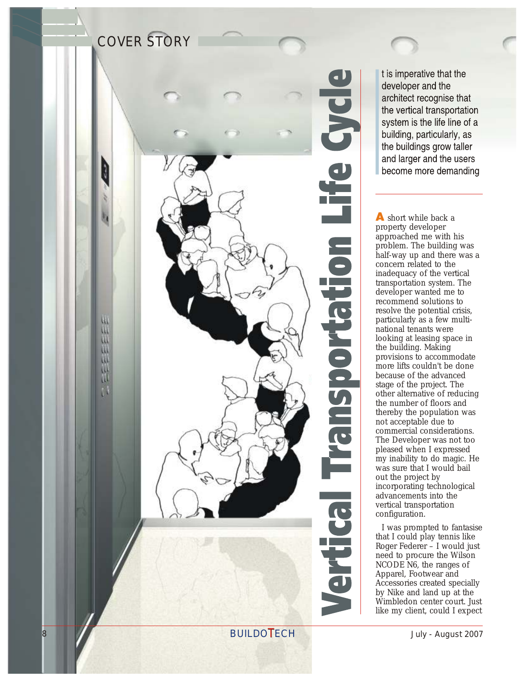

t is imperative that the developer and the architect recognise that the vertical transportation system is the life line of a building, particularly, as the buildings grow taller and larger and the users become more demanding

A short while back a property developer approached me with his problem. The building was half-way up and there was a concern related to the inadequacy of the vertical transportation system. The developer wanted me to recommend solutions to resolve the potential crisis, particularly as a few multinational tenants were looking at leasing space in the building. Making provisions to accommodate more lifts couldn't be done because of the advanced stage of the project. The other alternative of reducing the number of floors and thereby the population was not acceptable due to commercial considerations. The Developer was not too pleased when I expressed my inability to do magic. He was sure that I would bail out the project by incorporating technological advancements into the vertical transportation configuration.

I was prompted to fantasise that I could play tennis like Roger Federer – I would just need to procure the Wilson NCODE N6, the ranges of Apparel, Footwear and Accessories created specially<br>by Nike and land up at the Wimbledon center court. Just like my client, could I expect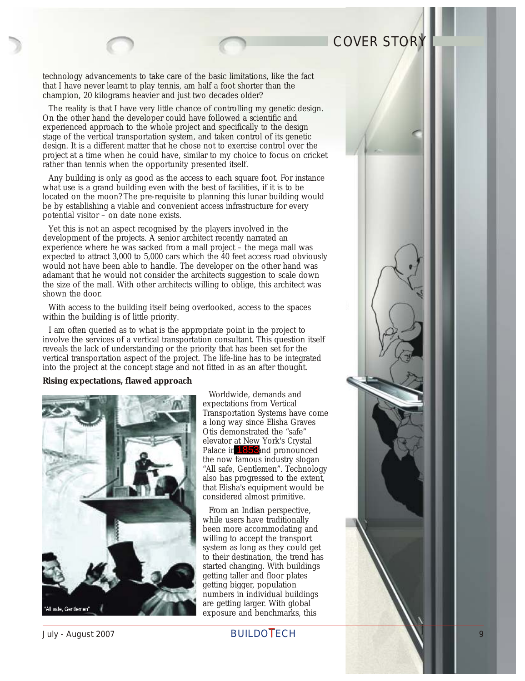technology advancements to take care of the basic limitations, like the fact that I have never learnt to play tennis, am half a foot shorter than the champion, 20 kilograms heavier and just two decades older?

The reality is that I have very little chance of controlling my genetic design. On the other hand the developer could have followed a scientific and experienced approach to the whole project and specifically to the design stage of the vertical transportation system, and taken control of its genetic design. It is a different matter that he chose not to exercise control over the project at a time when he could have, similar to my choice to focus on cricket rather than tennis when the opportunity presented itself.

Any building is only as good as the access to each square foot. For instance what use is a grand building even with the best of facilities, if it is to be located on the moon? The pre-requisite to planning this lunar building would be by establishing a viable and convenient access infrastructure for every potential visitor – on date none exists.

Yet this is not an aspect recognised by the players involved in the development of the projects. A senior architect recently narrated an experience where he was sacked from a mall project – the mega mall was expected to attract 3,000 to 5,000 cars which the 40 feet access road obviously would not have been able to handle. The developer on the other hand was adamant that he would not consider the architects suggestion to scale down the size of the mall. With other architects willing to oblige, this architect was shown the door.

With access to the building itself being overlooked, access to the spaces within the building is of little priority.

I am often queried as to what is the appropriate point in the project to involve the services of a vertical transportation consultant. This question itself reveals the lack of understanding or the priority that has been set for the vertical transportation aspect of the project. The life-line has to be integrated into the project at the concept stage and not fitted in as an after thought.

**Rising expectations, flawed approach**



Worldwide, demands and expectations from Vertical Transportation Systems have come a long way since Elisha Graves Otis demonstrated the "safe" elevator at New York's Crystal Palace in 1853 and pronounced the now famous industry slogan "All safe, Gentlemen". Technology also has progressed to the extent, that Elisha's equipment would be considered almost primitive.

From an Indian perspective, while users have traditionally been more accommodating and willing to accept the transport system as long as they could get to their destination, the trend has started changing. With buildings getting taller and floor plates getting bigger, population numbers in individual buildings are getting larger. With global exposure and benchmarks, this

July - August 2007 **BUILDOTECH** 9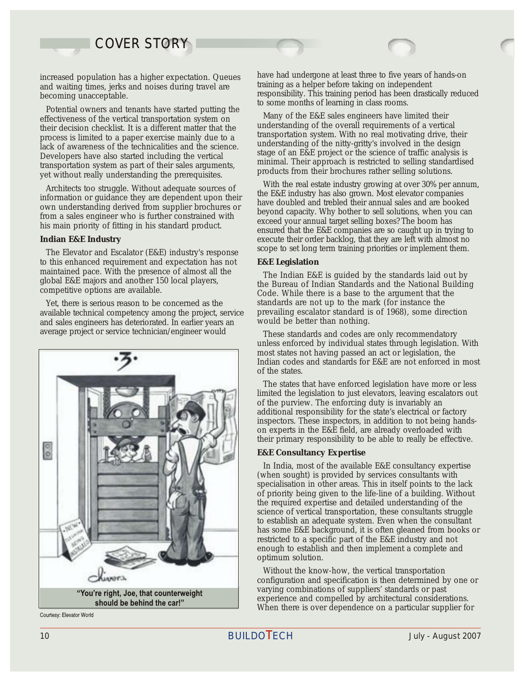and waiting times, jerks and noises during travel are<br>becoming unacceptable.

Potential owners and tenants have started putting the Many of the E&E sales engineers have limited their<br>effectiveness of the vertical transportation system on the understanding of the overall requirements of a vertical yet without really understanding the prerequisites.

The Elevator and Escalator (E&E) industry's response to this enhanced requirement and expectation has not **E&E** Legislation maintained pace. With the presence of almost all the The Indian E&E

available technical competency among the project, service prevailing escalator standard is and sales engineers has deteriorated. In earlier vears an would be better than nothing. and sales engineers has deteriorated. In earlier years an average project or service technician/engineer would These standards and codes are only recommendatory



Courtesy: Elevator World

increased population has a higher expectation. Queues have had undergone at least three to five years of hands-on and waiting times jerks and noises during travel are training as a helper before taking on independent responsibility. This training period has been drastically reduced to some months of learning in class rooms.

their decision checklist. It is a different matter that the understanding of the overall requirements of a vertical<br>process is limited to a paper exercise mainly due to a<br>transportation system. With no real motivating driv Lack of awareness of the technicalities and the science.<br>
Lack of awareness of the technicalities and the science.<br>
Developers have also started including the vertical<br>
transportation system as part of their sales argument

Architects too struggle. Without adequate sources of<br>information or guidance they are dependent upon their<br>own understanding derived from supplier brochures or<br>from a sales engineer who is further constrained with<br>his main Indian E&E Industry<br> **Industry** execute their order backlog, that they are left with almost no<br> **Execute the Election of Lindustry** exercises to set long term training priorities or implement them.

maintained pace. With the presence of almost all the The Indian E&E is guided by the standards laid out by global E&E majors and another 150 local players,<br>competitive options are available. Code. While there is a base to Yet, there is serious reason to be concerned as the standards are not up to the mark (for instance the vailable technical competency among the project, service prevailing escalator standard is of 1968), some direction

> unless enforced by individual states through legislation. With most states not having passed an act or legislation, the Indian codes and standards for E&E are not enforced in most of the states.

> The states that have enforced legislation have more or less limited the legislation to just elevators, leaving escalators out of the purview. The enforcing duty is invariably an additional responsibility for the state's electrical or factory inspectors. These inspectors, in addition to not being handson experts in the E&E field, are already overloaded with their primary responsibility to be able to really be effective.

#### **E&E Consultancy Expertise**

In India, most of the available E&E consultancy expertise (when sought) is provided by services consultants with specialisation in other areas. This in itself points to the lack of priority being given to the life-line of a building. Without the required expertise and detailed understanding of the science of vertical transportation, these consultants struggle to establish an adequate system. Even when the consultant has some E&E background, it is often gleaned from books or restricted to a specific part of the E&E industry and not enough to establish and then implement a complete and optimum solution.

Without the know-how, the vertical transportation configuration and specification is then determined by one or varying combinations of suppliers' standards or past experience and compelled by architectural considerations. When there is over dependence on a particular supplier for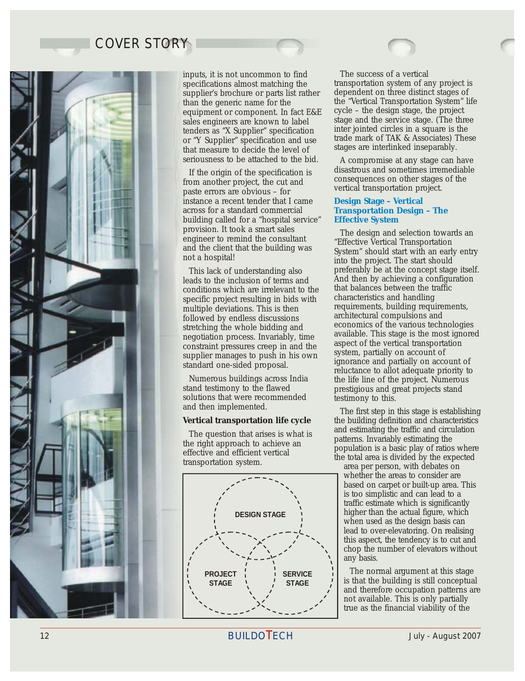

inputs, it is not uncommon to find The success of a vertical specifications almost matching the transportation system of any project is supplier's brochure or parts list rather dependent on three distinct stages of supplier's brochure or parts list rather<br>than the generic name for the sales engineers are known to label stage and the service stage. (The three sales engineers are known to label stage and the service stage. (The three stages  $\frac{1}{\sqrt{2}}$ or "Y Supplier" specification and use trade mark of TAK & Associates) That measure to decide the level of stages are interlinked inseparably. that measure to decide the level of seriousness to be attached to the bid. A compromise at any stage can have

If the origin of the specification is disastrous and sometimes irremediable<br>from another project, the cut and paste errors are obvious – for vertical transportation project. instance a recent tender that I came across for a standard commercial building called for a "hospital service"<br>provision. It took a smart sales

leads to the inclusion of terms and and then by achieving a configuration leads to the inclusion of terms and inclusion of the inclusion conditions which are irrelevant to the inclusion and that balances between the traffi conditions which are irrelevant to the that balances between the transposition resolution in bids with characteristics and handling specific project resulting in bids with multiple deviations. This is then requirements, building requirements, followed by endless discussions architectural compulsions and

solutions that were recommended testimony to this.<br>and then implemented.

The question that arises is what is<br>the right approach to achieve an<br>effective and efficient vertical<br>transportation system.<br>the total area is divided by the expected<br>area per person, with debates on



the "Vertical Transportation System" life<br>cycle – the design stage, the project equipment or component. In fact  $E&E$  cycle – the design stage, the project sales engineers are known to label stage and the service stage. (The three tenders as "X Supplier" specification inter jointed circles in a square is the tenders as "X Supplier" specification and use trade mark of TAK & Associates) These

### **Design Stage – Vertical Transportation Design – The Effective System**

provision. It took a smart sales<br>
engineer to remind the consultant<br>
and the client that the building was<br>
teffective Vertical Transportation<br>
system" should start with an early entry<br>
into the project. The start should This lack of understanding also preferably be at the concept stage itself.<br>
eads to the inclusion of terms and And then by achieving a configuration followed by endless discussions architectural compulsions and<br>stretching the whole bidding and economics of the various technologies stretching the whole bidding and<br>negotiation process Invariably time available. This stage is the most ignored megotiation process. Invariably, time available. This stage is the most ignored<br>constraint pressures creep in and the sapect of the vertical transportation<br>supplier manages to push in his own system, partially on account o Numerous buildings across India<br>the life line of the project. Numerous<br>stand testimony to the flawed buildings and great projects stand prestigious and great projects stand

and then implemented.<br>
The first step in this stage is establishing<br>
Vertical transportation life cycle the building definition and characteristics the building definition and characteristics<br>and estimating the traffic and circulation

> whether the areas to consider are based on carpet or built-up area. This is too simplistic and can lead to a traffic estimate which is significantly higher than the actual figure, which when used as the design basis can lead to over-elevatoring. On realising this aspect, the tendency is to cut and chop the number of elevators without any basis.

The normal argument at this stage is that the building is still conceptual and therefore occupation patterns are not available. This is only partially true as the financial viability of the

12 **BUILDOTECH** July - August 2007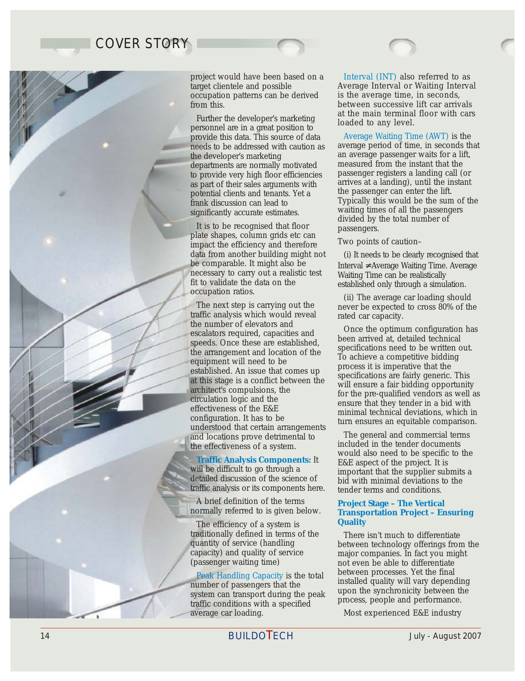project would have been based on a occupation patterns can be derived is the average time, in seconds,

Further the developer's marketing<br>personnel are in a great position to<br>provide this data. This source of data Average Waiting Tin the developer's marketing<br>departments are normally motivated measured from the instant that the departments are normally motivated measured from the instant that the<br>to provide very high floor efficiencies passenger registers a landing call (or as part of their sales arguments with arrives at a landing), until the instant as part of their sales arguments  $\frac{1}{2}$  arrives at a landing), until the instant potential clients and tenants. Yet a potential clients and tenants. Yet a<br>frank discussion can lead to

It is to be recognised that floor passengers. plate shapes, column grids etc can Two points of caution– impact the efficiency and therefore data from another building might not (i) It needs to be clearly recognised that be comparable. It might also be  $\frac{1}{2}$  for  $\frac{1}{2}$  for  $\frac{1}{2}$  for  $\frac{1}{2}$  for  $\frac{1}{2}$  for  $\frac{1}{2}$  for  $\frac{1}{2}$  for  $\frac{1}{2}$  f necessary to carry out a realistic test<br>fit to validate the data on the extablished only through a simulate the data on the fit to validate the data on the established only through a simulation.<br>  $\frac{1}{2}$ 

traffic analysis which would reveal rated car capacity.<br>the number of elevators and the number of elevators and<br>
secalators required, capacities and<br>
speeds. Once these are established,<br>
the arrangement and location of the<br>
equipment will need to be<br>
established. An issue that comes up<br>
at this stage is a and locations prove detrimental to The general and commercial terms the effectiveness of a system. The included in the tender documents

**Traffic Analysis Components:**

A brief definition of the terms normally referred to is given below.

The efficiency of a system is traditionally defined in terms of the There isn't much to differentiate<br>quantity of service (handling between technology offerings from

mumber of passengers that the system can transport during the peak upon the synchronicity between the traffic conditions with a specified process, people and performance. average car loading. Most experienced E&E industry Peak Handling Capacity is the total

target clientele and possible Average Interval or Waiting Interval from this.<br> **between successive lift car arrivals**<br> **or**  $\overline{B}$  at the main terminal floor with cars Interval (INT) also referred to as

provide this data. This source of data **Average Waiting Time (AWT)** is the needs to be addressed with caution as average period of time, in seconds that to provide very high floor efficiencies bases are registers a landing call (or to provide very high floor efficiencies at a landing), until the instant Frank discussion can lead to Typically this would be the sum of the significantly accurate estimates. waiting times of all the passengers divided by the total number of

Interval ≠ Average Waiting Time. Average

Europation ratios.<br>The next step is carrying out the the expected to cross 80% of the carrying out the the expected to cross 80% of the never be expected to cross 80% of the

would also need to be specific to the E&E aspect of the project. It is will be difficult to go through a<br>detailed discussion of the science of hid with minimal deviations to the bid with minimal deviations to the traffic analysis or its components here. tender terms and conditions.

### **Project Stage – The Vertical Transportation Project – Ensuring Quality**

quantity of service (handling between technology offerings from the capacity) and quality of service major companies. In fact you might capacity) and quality of service major companies. In fact you might not even be able to differentiate<br>between processes. Yet the final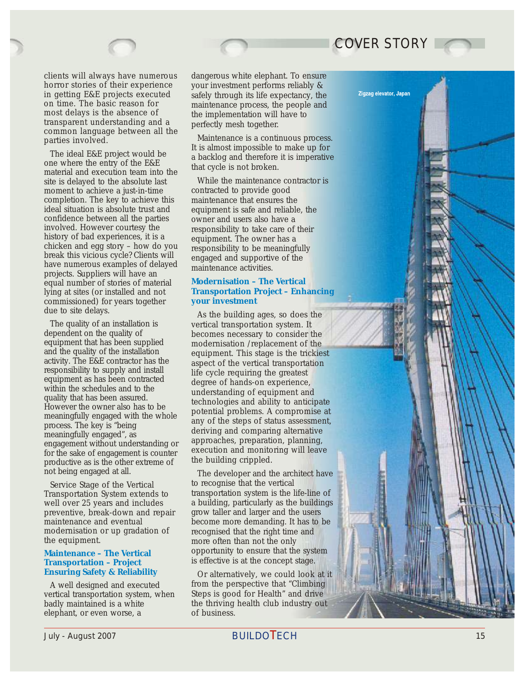

horror stories of their experience your investment performs reliably &<br>in getting E&E projects executed safely through its life expectancy, the transparent understanding and a perfectly mesh together. common language between all the

The ideal E&E project would be a backlog and therefore it is imperative<br>one where the entry of the E&E<br>material and execution team into the<br>site is delayed to the absolute last<br>While the maintenance contractor is site is delayed to the absolute last While the maintenance contracted to provide good moment to achieve a just-in-time completion. The key to achieve this maintenance that ensures the ideal situation is absolute trust and equipment is safe and reliable, the confidence between all the parties owner and users also have a<br>involved. However courtesy the responsibility to take care of history of bad experiences, it is a equipment. The owner has a chicken and egg story – how do you break this vicious cycle? Clients will engaged and supportive of the have numerous examples of delayed maintenance activities.<br>projects. Suppliers will have an equal number of stories of material lying at sites (or installed and not commissioned) for years together

The quality of an installation is vertical transportation system. It dependent on the quality of becomes necessary to consider t dependent on the quality of becomes necessary to consider the equipment that has been supplied modernisation /replacement of the equipment that has been supplied<br>and the quality of the installation<br>equipment. This stage is the trickie responsibility to supply and install life cycle requiring the greatest<br>equipment as has been contracted degree of hands on experience productive as is the other extreme of not being engaged at all. The developer and the architect have

preventive, break-down and repair modernisation or up gradation of recognised that the right time and the equipment.

### **Maintenance – The Vertical Transportation – Project Ensuring Safety & Reliability**

vertical transportation system, when<br>badly maintained is a white elephant, or even worse, a of business.

clients will always have numerous dangerous white elephant. To ensure horror stories of their experience vour investment performs reliably & in getting E&E projects executed safely through its life expectancy, the on time. The basic reason for maintenance process, the people and on time. The basic reason for maintenance process, the people and most delays is the absence of the implementation will have to the implementation will have to

COVER STORY

Zigzag elevator, Japan

maintenance is a continuous process.<br>
The matter is almost impossible to make up for

responsibility to take care of their responsibility to be meaningfully

### **Modernisation – The Vertical Transportation Project – Enhancing your investment**

due to site delays.<br>
The quality of an installation is<br>  $\begin{array}{ccc} \text{As the building ages, so does the vertical transportation system. It} \end{array}$ and the quality of the installation equipment. This stage is the trickiest activity. The E&E contractor has the senect of the vertical transportation activity. The E&E contractor has the aspect of the vertical transportation responsibility to supply and install life cycle requiring the greatest equipment as has been contracted<br>within the schedules and to the<br>quality that has been assured.<br>However the owner also has to be<br>meaningfully engaged with the whole<br>process. The key is "being<br>meaningfully engaged", as<br>enga engagement without understanding or<br>for the sake of engagement is counter<br>productive as is the other extreme of the building crippled.

Service Stage of the Vertical to recognise that the vertical Transportation System extends to transportation system is the life-line of well over 25 years and includes a building, particularly as the buildings preventive, break-down and repair grow taller and larger and the users maintenance and eventual become more demanding. It has to be modernisation or up gradation of recognised that the right time and more often than not the only opportunity to ensure that the system is effective is at the concept stage.

Or alternatively, we could look at it A well designed and executed from the perspective that "Climbing<br>ertical transportation system, when Steps is good for Health" and drive the thriving health club industry out